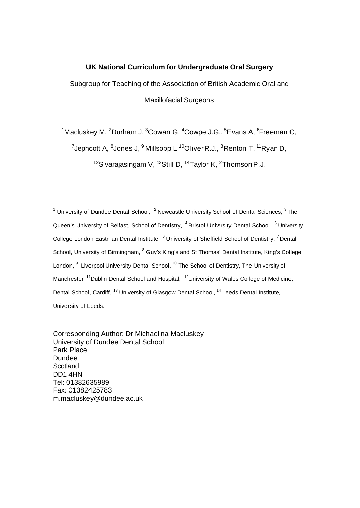#### **UK National Curriculum for Undergraduate Oral Surgery**

Subgroup for Teaching of the Association of British Academic Oral and Maxillofacial Surgeons

<sup>1</sup>Macluskey M, <sup>2</sup>Durham J, <sup>3</sup>Cowan G, <sup>4</sup>Cowpe J.G., <sup>5</sup>Evans A, <sup>6</sup>Freeman C,

<sup>7</sup>Jephcott A, <sup>8</sup>Jones J, <sup>9</sup> Millsopp L <sup>10</sup>Oliver R.J., <sup>8</sup>Renton T, <sup>11</sup>Ryan D,

<sup>12</sup>Sivarajasingam V,  $^{13}$ Still D,  $^{14}$ Taylor K,  $^{2}$ Thomson P.J.

<sup>1</sup> University of Dundee Dental School,  $2$  Newcastle University School of Dental Sciences,  $3$  The Queen's University of Belfast, School of Dentistry, <sup>4</sup> Bristol University Dental School, <sup>5</sup> University College London Eastman Dental Institute, <sup>6</sup> University of Sheffield School of Dentistry, <sup>7</sup> Dental School, University of Birmingham,  $^8$  Guy's King's and St Thomas' Dental Institute, King's College London,  $^9$  Liverpool University Dental School, <sup>10</sup> The School of Dentistry, The University of Manchester, <sup>11</sup>Dublin Dental School and Hospital, <sup>12</sup>University of Wales College of Medicine, Dental School, Cardiff, <sup>13</sup> University of Glasgow Dental School, <sup>14</sup> Leeds Dental Institute, University of Leeds.

Corresponding Author: Dr Michaelina Macluskey University of Dundee Dental School Park Place Dundee **Scotland** DD1 4HN Tel: 01382635989 Fax: 01382425783 m.macluskey@dundee.ac.uk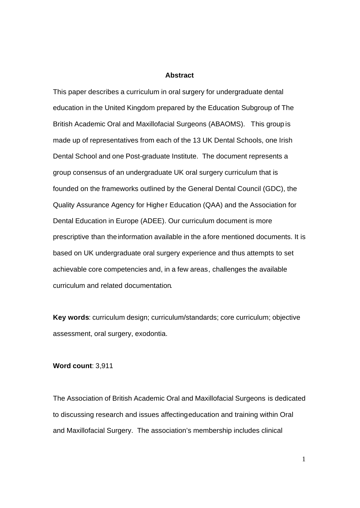#### **Abstract**

This paper describes a curriculum in oral surgery for undergraduate dental education in the United Kingdom prepared by the Education Subgroup of The British Academic Oral and Maxillofacial Surgeons (ABAOMS). This group is made up of representatives from each of the 13 UK Dental Schools, one Irish Dental School and one Post-graduate Institute. The document represents a group consensus of an undergraduate UK oral surgery curriculum that is founded on the frameworks outlined by the General Dental Council (GDC), the Quality Assurance Agency for Higher Education (QAA) and the Association for Dental Education in Europe (ADEE). Our curriculum document is more prescriptive than the information available in the afore mentioned documents. It is based on UK undergraduate oral surgery experience and thus attempts to set achievable core competencies and, in a few areas, challenges the available curriculum and related documentation.

**Key words**: curriculum design; curriculum/standards; core curriculum; objective assessment, oral surgery, exodontia.

#### **Word count**: 3,911

The Association of British Academic Oral and Maxillofacial Surgeons is dedicated to discussing research and issues affecting education and training within Oral and Maxillofacial Surgery. The association's membership includes clinical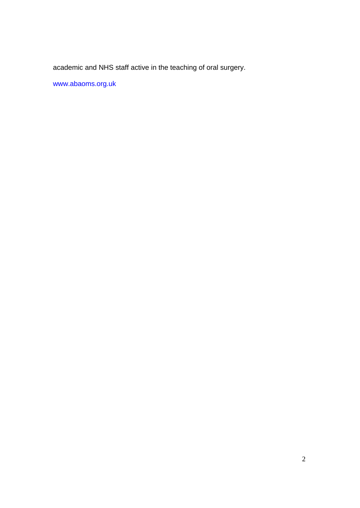academic and NHS staff active in the teaching of oral surgery.

www.abaoms.org.uk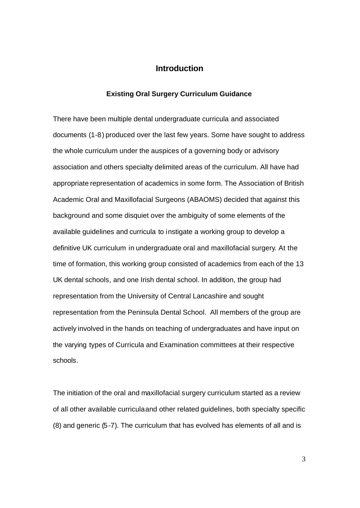## **Introduction**

#### **Existing Oral Surgery Curriculum Guidance**

There have been multiple dental undergraduate curricula and associated documents (1-8) produced over the last few years. Some have sought to address the whole curriculum under the auspices of a governing body or advisory association and others specialty delimited areas of the curriculum. All have had appropriate representation of academics in some form. The Association of British Academic Oral and Maxillofacial Surgeons (ABAOMS) decided that against this background and some disquiet over the ambiguity of some elements of the available guidelines and curricula to instigate a working group to develop a definitive UK curriculum in undergraduate oral and maxillofacial surgery. At the time of formation, this working group consisted of academics from each of the 13 UK dental schools, and one Irish dental school. In addition, the group had representation from the University of Central Lancashire and sought representation from the Peninsula Dental School. All members of the group are actively involved in the hands on teaching of undergraduates and have input on the varying types of Curricula and Examination committees at their respective schools.

The initiation of the oral and maxillofacial surgery curriculum started as a review of all other available curricula and other related guidelines, both specialty specific (8) and generic (5-7). The curriculum that has evolved has elements of all and is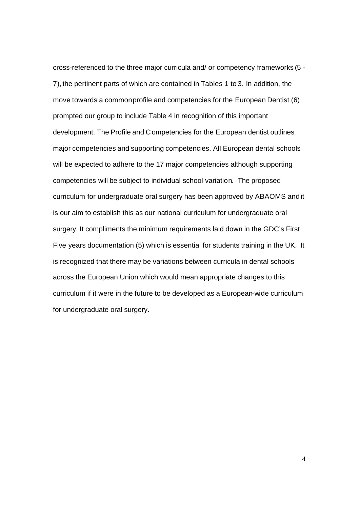cross-referenced to the three major curricula and/ or competency frameworks (5 - 7), the pertinent parts of which are contained in Tables 1 to 3. In addition, the move towards a common profile and competencies for the European Dentist (6) prompted our group to include Table 4 in recognition of this important development. The Profile and Competencies for the European dentist outlines major competencies and supporting competencies. All European dental schools will be expected to adhere to the 17 major competencies although supporting competencies will be subject to individual school variation. The proposed curriculum for undergraduate oral surgery has been approved by ABAOMS and it is our aim to establish this as our national curriculum for undergraduate oral surgery. It compliments the minimum requirements laid down in the GDC's First Five years documentation (5) which is essential for students training in the UK. It is recognized that there may be variations between curricula in dental schools across the European Union which would mean appropriate changes to this curriculum if it were in the future to be developed as a European-wide curriculum for undergraduate oral surgery.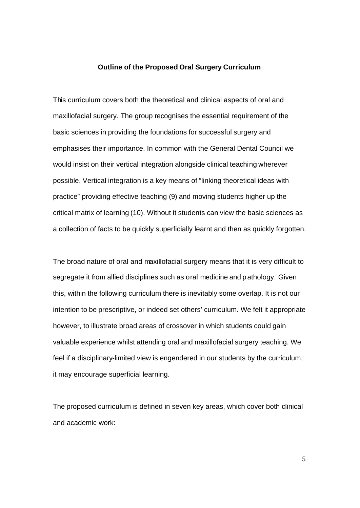#### **Outline of the Proposed Oral Surgery Curriculum**

This curriculum covers both the theoretical and clinical aspects of oral and maxillofacial surgery. The group recognises the essential requirement of the basic sciences in providing the foundations for successful surgery and emphasises their importance. In common with the General Dental Council we would insist on their vertical integration alongside clinical teaching wherever possible. Vertical integration is a key means of "linking theoretical ideas with practice" providing effective teaching (9) and moving students higher up the critical matrix of learning (10). Without it students can view the basic sciences as a collection of facts to be quickly superficially learnt and then as quickly forgotten.

The broad nature of oral and maxillofacial surgery means that it is very difficult to segregate it from allied disciplines such as oral medicine and pathology. Given this, within the following curriculum there is inevitably some overlap. It is not our intention to be prescriptive, or indeed set others' curriculum. We felt it appropriate however, to illustrate broad areas of crossover in which students could gain valuable experience whilst attending oral and maxillofacial surgery teaching. We feel if a disciplinary-limited view is engendered in our students by the curriculum, it may encourage superficial learning.

The proposed curriculum is defined in seven key areas, which cover both clinical and academic work: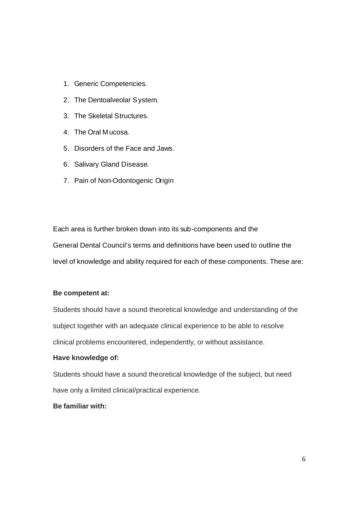- 1. Generic Competencies.
- 2. The Dentoalveolar System.
- 3. The Skeletal Structures.
- 4. The Oral Mucosa.
- 5. Disorders of the Face and Jaws.
- 6. Salivary Gland Disease.
- 7. Pain of Non-Odontogenic Origin

Each area is further broken down into its sub-components and the General Dental Council's terms and definitions have been used to outline the level of knowledge and ability required for each of these components. These are:

#### **Be competent at:**

Students should have a sound theoretical knowledge and understanding of the subject together with an adequate clinical experience to be able to resolve clinical problems encountered, independently, or without assistance.

#### **Have knowledge of:**

Students should have a sound theoretical knowledge of the subject, but need have only a limited clinical/practical experience.

# **Be familiar with:**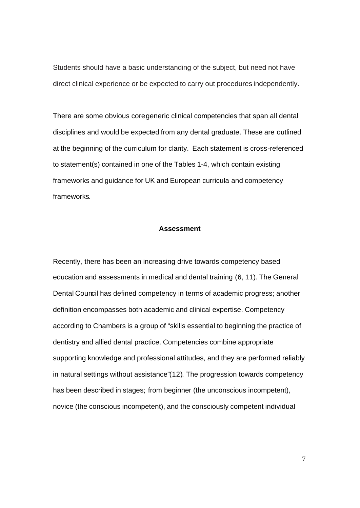Students should have a basic understanding of the subject, but need not have direct clinical experience or be expected to carry out procedures independently.

There are some obvious core generic clinical competencies that span all dental disciplines and would be expected from any dental graduate. These are outlined at the beginning of the curriculum for clarity. Each statement is cross-referenced to statement(s) contained in one of the Tables 1-4, which contain existing frameworks and guidance for UK and European curricula and competency frameworks.

#### **Assessment**

Recently, there has been an increasing drive towards competency based education and assessments in medical and dental training (6, 11). The General Dental Council has defined competency in terms of academic progress; another definition encompasses both academic and clinical expertise. Competency according to Chambers is a group of "skills essential to beginning the practice of dentistry and allied dental practice. Competencies combine appropriate supporting knowledge and professional attitudes, and they are performed reliably in natural settings without assistance"(12). The progression towards competency has been described in stages; from beginner (the unconscious incompetent), novice (the conscious incompetent), and the consciously competent individual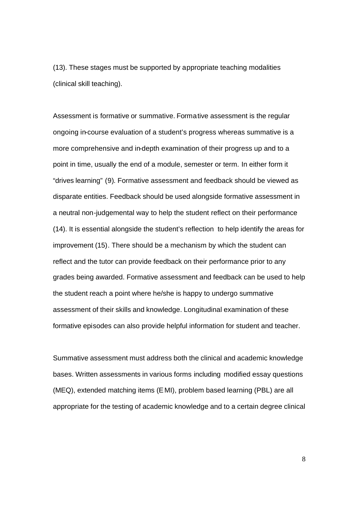(13). These stages must be supported by appropriate teaching modalities (clinical skill teaching).

Assessment is formative or summative. Formative assessment is the regular ongoing in-course evaluation of a student's progress whereas summative is a more comprehensive and in-depth examination of their progress up and to a point in time, usually the end of a module, semester or term. In either form it "drives learning" (9). Formative assessment and feedback should be viewed as disparate entities. Feedback should be used alongside formative assessment in a neutral non-judgemental way to help the student reflect on their performance (14). It is essential alongside the student's reflection to help identify the areas for improvement (15). There should be a mechanism by which the student can reflect and the tutor can provide feedback on their performance prior to any grades being awarded. Formative assessment and feedback can be used to help the student reach a point where he/she is happy to undergo summative assessment of their skills and knowledge. Longitudinal examination of these formative episodes can also provide helpful information for student and teacher.

Summative assessment must address both the clinical and academic knowledge bases. Written assessments in various forms including modified essay questions (MEQ), extended matching items (EMI), problem based learning (PBL) are all appropriate for the testing of academic knowledge and to a certain degree clinical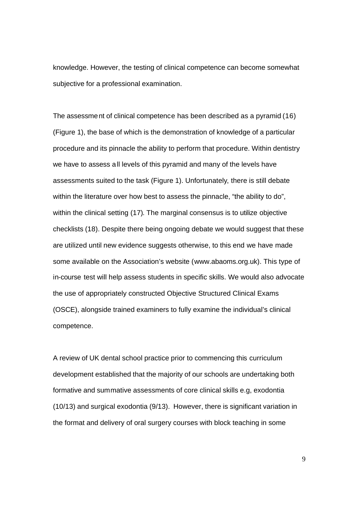knowledge. However, the testing of clinical competence can become somewhat subjective for a professional examination.

The assessment of clinical competence has been described as a pyramid (16) (Figure 1), the base of which is the demonstration of knowledge of a particular procedure and its pinnacle the ability to perform that procedure. Within dentistry we have to assess all levels of this pyramid and many of the levels have assessments suited to the task (Figure 1). Unfortunately, there is still debate within the literature over how best to assess the pinnacle, "the ability to do", within the clinical setting (17). The marginal consensus is to utilize objective checklists (18). Despite there being ongoing debate we would suggest that these are utilized until new evidence suggests otherwise, to this end we have made some available on the Association's website (www.abaoms.org.uk). This type of in-course test will help assess students in specific skills. We would also advocate the use of appropriately constructed Objective Structured Clinical Exams (OSCE), alongside trained examiners to fully examine the individual's clinical competence.

A review of UK dental school practice prior to commencing this curriculum development established that the majority of our schools are undertaking both formative and summative assessments of core clinical skills e.g, exodontia (10/13) and surgical exodontia (9/13). However, there is significant variation in the format and delivery of oral surgery courses with block teaching in some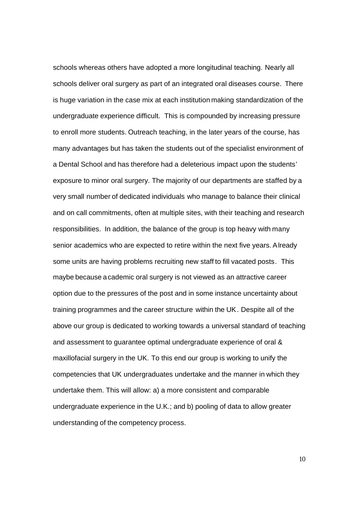schools whereas others have adopted a more longitudinal teaching. Nearly all schools deliver oral surgery as part of an integrated oral diseases course. There is huge variation in the case mix at each institution making standardization of the undergraduate experience difficult. This is compounded by increasing pressure to enroll more students. Outreach teaching, in the later years of the course, has many advantages but has taken the students out of the specialist environment of a Dental School and has therefore had a deleterious impact upon the students' exposure to minor oral surgery. The majority of our departments are staffed by a very small number of dedicated individuals who manage to balance their clinical and on call commitments, often at multiple sites, with their teaching and research responsibilities. In addition, the balance of the group is top heavy with many senior academics who are expected to retire within the next five years. Already some units are having problems recruiting new staff to fill vacated posts. This maybe because academic oral surgery is not viewed as an attractive career option due to the pressures of the post and in some instance uncertainty about training programmes and the career structure within the UK. Despite all of the above our group is dedicated to working towards a universal standard of teaching and assessment to guarantee optimal undergraduate experience of oral & maxillofacial surgery in the UK. To this end our group is working to unify the competencies that UK undergraduates undertake and the manner in which they undertake them. This will allow: a) a more consistent and comparable undergraduate experience in the U.K.; and b) pooling of data to allow greater understanding of the competency process.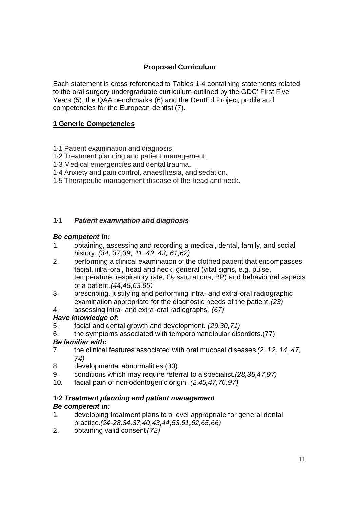# **Proposed Curriculum**

Each statement is cross referenced to Tables 1-4 containing statements related to the oral surgery undergraduate curriculum outlined by the GDC' First Five Years (5), the QAA benchmarks (6) and the DentEd Project, profile and competencies for the European dentist (7).

# **1 Generic Competencies**

- 1·1 Patient examination and diagnosis.
- 1·2 Treatment planning and patient management.
- 1·3 Medical emergencies and dental trauma.
- 1·4 Anxiety and pain control, anaesthesia, and sedation.
- 1·5 Therapeutic management disease of the head and neck.

## **1·1** *Patient examination and diagnosis*

### *Be competent in:*

- 1. obtaining, assessing and recording a medical, dental, family, and social history. *(34, 37,39, 41, 42, 43, 61,62)*
- 2. performing a clinical examination of the clothed patient that encompasses facial, intra-oral, head and neck, general (vital signs, e.g. pulse, temperature, respiratory rate,  $O<sub>2</sub>$  saturations, BP) and behavioural aspects of a patient*.(44,45,63,65)*
- 3. prescribing, justifying and performing intra- and extra-oral radiographic examination appropriate for the diagnostic needs of the patient*.(23)*
- 4. assessing intra- and extra-oral radiographs. *(67)*

## *Have knowledge of:*

- 5. facial and dental growth and development. *(29,30,71)*
- 6. the symptoms associated with temporomandibular disorders.(77)

# *Be familiar with:*

- 7. the clinical features associated with oral mucosal diseases*.(2, 12, 14, 47, 74)*
- 8. developmental abnormalities.(30)
- 9. conditions which may require referral to a specialist*.(28,35,47,97)*
- 10. facial pain of non-odontogenic origin. *(2,45,47,76,97)*

# **1·2** *Treatment planning and patient management*

## *Be competent in:*

- 1. developing treatment plans to a level appropriate for general dental practice*.(24-28,34,37,40,43,44,53,61,62,65,66)*
- 2. obtaining valid consent*.(72)*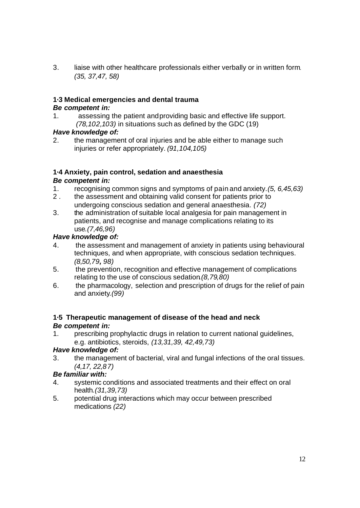3. liaise with other healthcare professionals either verbally or in written form. *(35, 37,47, 58)*

# **1·3 Medical emergencies and dental trauma**

# *Be competent in:*

1. assessing the patient and providing basic and effective life support. *(78,102,103)* in situations such as defined by the GDC (19)

## *Have knowledge of:*

2. the management of oral injuries and be able either to manage such injuries or refer appropriately. *(91,104,105)*

# **1·4 Anxiety, pain control, sedation and anaesthesia**

# *Be competent in:*

- 1. recognising common signs and symptoms of pain and anxiety.*(5, 6,45,63)*
- 2 . the assessment and obtaining valid consent for patients prior to undergoing conscious sedation and general anaesthesia. *(72)*
- 3. the administration of suitable local analgesia for pain management in patients, and recognise and manage complications relating to its use*.(7,46,96)*

# *Have knowledge of:*

- 4. the assessment and management of anxiety in patients using behavioural techniques, and when appropriate, with conscious sedation techniques. *(8,50,79, 98)*
- 5. the prevention, recognition and effective management of complications relating to the use of conscious sedation*.(8,79,80)*
- 6. the pharmacology, selection and prescription of drugs for the relief of pain and anxiety*.(99)*

### **1·5 Therapeutic management of disease of the head and neck** *Be competent in:*

1. prescribing prophylactic drugs in relation to current national guidelines, e.g. antibiotics, steroids, *(13,31,39, 42,49,73)*

# *Have knowledge of:*

3. the management of bacterial, viral and fungal infections of the oral tissues. *(4,17, 22,87)*

# *Be familiar with:*

- 4. systemic conditions and associated treatments and their effect on oral health*.(31,39,73)*
- 5. potential drug interactions which may occur between prescribed medications *(22)*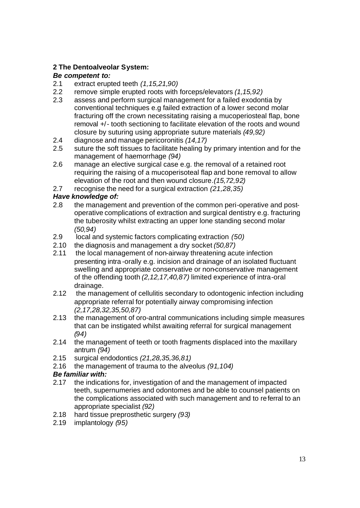# **2 The Dentoalveolar System:**

# *Be competent to:*

- 2.1 extract erupted teeth *(1,15,21,90)*
- 2.2 remove simple erupted roots with forceps/elevators *(1,15,92)*
- 2.3 assess and perform surgical management for a failed exodontia by conventional techniques e.g failed extraction of a lower second molar fracturing off the crown necessitating raising a mucoperiosteal flap, bone removal +/- tooth sectioning to facilitate elevation of the roots and wound closure by suturing using appropriate suture materials *(49,92)*
- 2.4 diagnose and manage pericoronitis *(14,17)*
- 2.5 suture the soft tissues to facilitate healing by primary intention and for the management of haemorrhage *(94)*
- 2.6 manage an elective surgical case e.g. the removal of a retained root requiring the raising of a mucoperisoteal flap and bone removal to allow elevation of the root and then wound closure*.(15,72,92)*
- 2.7 recognise the need for a surgical extraction *(21,28,35)*

# *Have knowledge of:*

- 2.8 the management and prevention of the common peri-operative and postoperative complications of extraction and surgical dentistry e.g. fracturing the tuberosity whilst extracting an upper lone standing second molar *(50,94)*
- 2.9 local and systemic factors complicating extraction *(50)*
- 2.10 the diagnosis and management a dry socket *(50,87)*
- 2.11 the local management of non-airway threatening acute infection presenting intra -orally e.g. incision and drainage of an isolated fluctuant swelling and appropriate conservative or non-conservative management of the offending tooth *(2,12,17,40,87)* limited experience of intra-oral drainage.
- 2.12 the management of cellulitis secondary to odontogenic infection including appropriate referral for potentially airway compromising infection *(2,17,28,32,35,50,87)*
- 2.13 the management of oro-antral communications including simple measures that can be instigated whilst awaiting referral for surgical management *(94)*
- 2.14 the management of teeth or tooth fragments displaced into the maxillary antrum *(94)*
- 2.15 surgical endodontics *(21,28,35,36,81)*
- 2.16 the management of trauma to the alveolus *(91,104)*

# *Be familiar with:*

- 2.17 the indications for, investigation of and the management of impacted teeth, supernumeries and odontomes and be able to counsel patients on the complications associated with such management and to referral to an appropriate specialist *(92)*
- 2.18 hard tissue preprosthetic surgery *(93)*
- 2.19 implantology *(95)*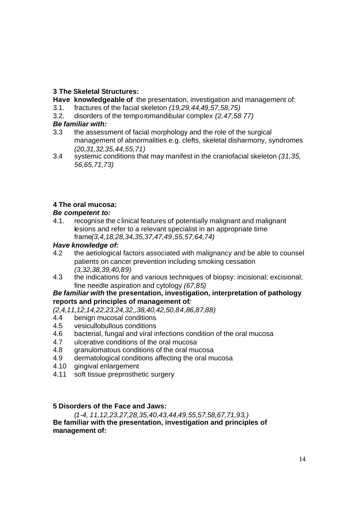# **3 The Skeletal Structures:**

**Have knowledgeable of** the presentation, investigation and management of:

- 3.1. fractures of the facial skeleton *(19,29,44,49,57,58,75)*
- 3.2. disorders of the temporomandibular complex *(2,47,58 77)*

# *Be familiar with:*

- 3.3 the assessment of facial morphology and the role of the surgical management of abnormalities e.g. clefts, skeletal disharmony, syndromes *(20,31,32,35,44,55,71)*
- 3.4 systemic conditions that may manifest in the craniofacial skeleton *(31,35, 56,65,71,73)*

# **4 The oral mucosa:**

# *Be competent to:*

4.1. recognise the clinical features of potentially malignant and malignant lesions and refer to a relevant specialist in an appropriate time frame*(3,4,18,28,34,35,37,47,49,55,57,64,74)*

## *Have knowledge of:*

- 4.2 the aetiological factors associated with malignancy and be able to counsel patients on cancer prevention including smoking cessation *(3,32,38,39,40,89)*
- 4.3 the indications for and various techniques of biopsy: incisional; excisional; fine needle aspiration and cytology *(67,85)*

## *Be familiar with* **the presentation, investigation, interpretation of pathology reports and principles of management of***:*

*(2,4,11,12,14,22,23,24,32,,38,40,42,50,84,86,87,88)*

- 4.4 benign mucosal conditions
- 4.5 vesicullobullous conditions
- 4.6 bacterial, fungal and viral infections condition of the oral mucosa
- 4.7 ulcerative conditions of the oral mucosa
- 4.8 granulomatous conditions of the oral mucosa
- 4.9 dermatological conditions affecting the oral mucosa
- 4.10 gingival enlargement
- 4.11 soft tissue preprosthetic surgery

## **5 Disorders of the Face and Jaws:**

*(1-4, 11,12,23,27,28,35,40,43,44,49,55,57,58,67,71,93,)* **Be familiar with the presentation, investigation and principles of management of:**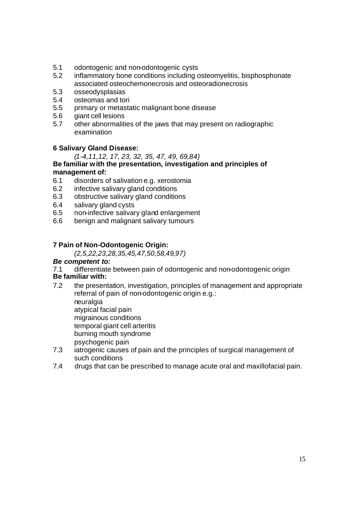- 5.1 odontogenic and non-odontogenic cysts
- 5.2 inflammatory bone conditions including osteomyelitis, bisphosphonate associated osteochemonecrosis and osteoradionecrosis
- 5.3 osseodysplasias
- 5.4 osteomas and tori
- 5.5 primary or metastatic malignant bone disease
- 5.6 giant cell lesions
- 5.7 other abnormalities of the jaws that may present on radiographic examination

## **6 Salivary Gland Disease:**

### *(1-4,11,12, 17, 23, 32, 35, 47, 49, 69,84)*

#### **Be familiar with the presentation, investigation and principles of management of:**

- 6.1 disorders of salivation e.g. xerostomia
- 6.2 infective salivary gland conditions
- 6.3 obstructive salivary gland conditions
- 6.4 salivary gland cysts
- 6.5 non-infective salivary gland enlargement
- 6.6 benign and malignant salivary tumours

### **7 Pain of Non-Odontogenic Origin:**

*(2,5,22,23,28,35,45,47,50,58,49,97)*

## *Be competent to:*

7.1 differentiate between pain of odontogenic and non-odontogenic origin

# **Be familiar with:**

7.2 the presentation, investigation, principles of management and appropriate referral of pain of non-odontogenic origin e.g.:

neuralgia atypical facial pain migrainous conditions temporal giant cell arteritis burning mouth syndrome psychogenic pain

- 7.3 iatrogenic causes of pain and the principles of surgical management of such conditions
- 7.4 drugs that can be prescribed to manage acute oral and maxillofacial pain.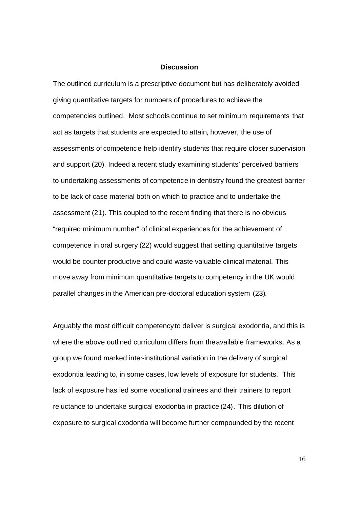#### **Discussion**

The outlined curriculum is a prescriptive document but has deliberately avoided giving quantitative targets for numbers of procedures to achieve the competencies outlined. Most schools continue to set minimum requirements that act as targets that students are expected to attain, however, the use of assessments of competence help identify students that require closer supervision and support (20). Indeed a recent study examining students' perceived barriers to undertaking assessments of competence in dentistry found the greatest barrier to be lack of case material both on which to practice and to undertake the assessment (21). This coupled to the recent finding that there is no obvious "required minimum number" of clinical experiences for the achievement of competence in oral surgery (22) would suggest that setting quantitative targets would be counter productive and could waste valuable clinical material. This move away from minimum quantitative targets to competency in the UK would parallel changes in the American pre-doctoral education system (23).

Arguably the most difficult competency to deliver is surgical exodontia, and this is where the above outlined curriculum differs from the available frameworks. As a group we found marked inter-institutional variation in the delivery of surgical exodontia leading to, in some cases, low levels of exposure for students. This lack of exposure has led some vocational trainees and their trainers to report reluctance to undertake surgical exodontia in practice (24). This dilution of exposure to surgical exodontia will become further compounded by the recent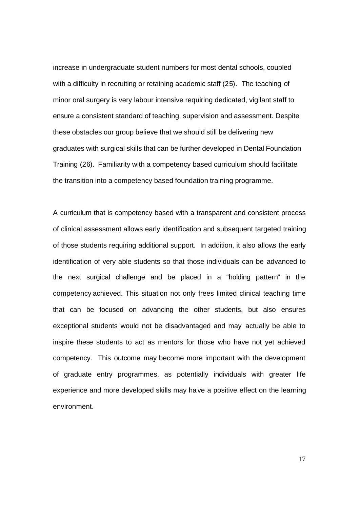increase in undergraduate student numbers for most dental schools, coupled with a difficulty in recruiting or retaining academic staff (25). The teaching of minor oral surgery is very labour intensive requiring dedicated, vigilant staff to ensure a consistent standard of teaching, supervision and assessment. Despite these obstacles our group believe that we should still be delivering new graduates with surgical skills that can be further developed in Dental Foundation Training (26). Familiarity with a competency based curriculum should facilitate the transition into a competency based foundation training programme.

A curriculum that is competency based with a transparent and consistent process of clinical assessment allows early identification and subsequent targeted training of those students requiring additional support. In addition, it also allows the early identification of very able students so that those individuals can be advanced to the next surgical challenge and be placed in a "holding pattern" in the competency achieved. This situation not only frees limited clinical teaching time that can be focused on advancing the other students, but also ensures exceptional students would not be disadvantaged and may actually be able to inspire these students to act as mentors for those who have not yet achieved competency. This outcome may become more important with the development of graduate entry programmes, as potentially individuals with greater life experience and more developed skills may have a positive effect on the learning environment.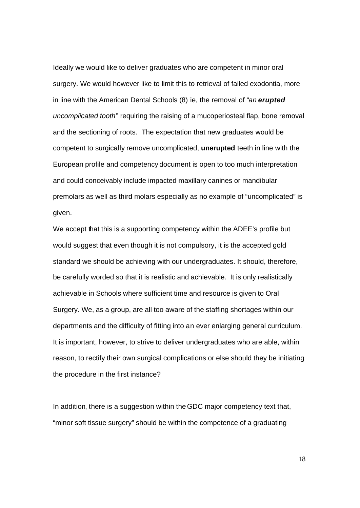Ideally we would like to deliver graduates who are competent in minor oral surgery. We would however like to limit this to retrieval of failed exodontia, more in line with the American Dental Schools (8) ie, the removal of "*an erupted uncomplicated tooth*" requiring the raising of a mucoperiosteal flap, bone removal and the sectioning of roots. The expectation that new graduates would be competent to surgically remove uncomplicated, **unerupted** teeth in line with the European profile and competency document is open to too much interpretation and could conceivably include impacted maxillary canines or mandibular premolars as well as third molars especially as no example of "uncomplicated" is given.

We accept that this is a supporting competency within the ADEE's profile but would suggest that even though it is not compulsory, it is the accepted gold standard we should be achieving with our undergraduates. It should, therefore, be carefully worded so that it is realistic and achievable. It is only realistically achievable in Schools where sufficient time and resource is given to Oral Surgery. We, as a group, are all too aware of the staffing shortages within our departments and the difficulty of fitting into an ever enlarging general curriculum. It is important, however, to strive to deliver undergraduates who are able, within reason, to rectify their own surgical complications or else should they be initiating the procedure in the first instance?

In addition, there is a suggestion within the GDC major competency text that, "minor soft tissue surgery" should be within the competence of a graduating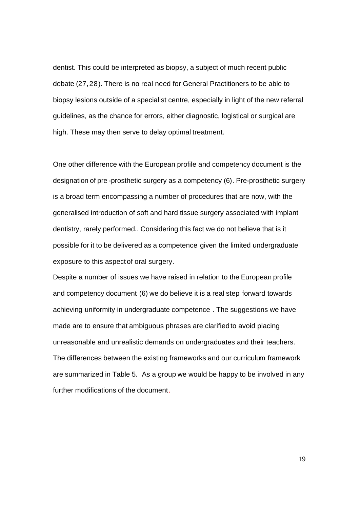dentist. This could be interpreted as biopsy, a subject of much recent public debate (27, 28). There is no real need for General Practitioners to be able to biopsy lesions outside of a specialist centre, especially in light of the new referral guidelines, as the chance for errors, either diagnostic, logistical or surgical are high. These may then serve to delay optimal treatment.

One other difference with the European profile and competency document is the designation of pre -prosthetic surgery as a competency (6). Pre-prosthetic surgery is a broad term encompassing a number of procedures that are now, with the generalised introduction of soft and hard tissue surgery associated with implant dentistry, rarely performed.. Considering this fact we do not believe that is it possible for it to be delivered as a competence given the limited undergraduate exposure to this aspect of oral surgery.

Despite a number of issues we have raised in relation to the European profile and competency document (6) we do believe it is a real step forward towards achieving uniformity in undergraduate competence . The suggestions we have made are to ensure that ambiguous phrases are clarified to avoid placing unreasonable and unrealistic demands on undergraduates and their teachers. The differences between the existing frameworks and our curriculum framework are summarized in Table 5. As a group we would be happy to be involved in any further modifications of the document.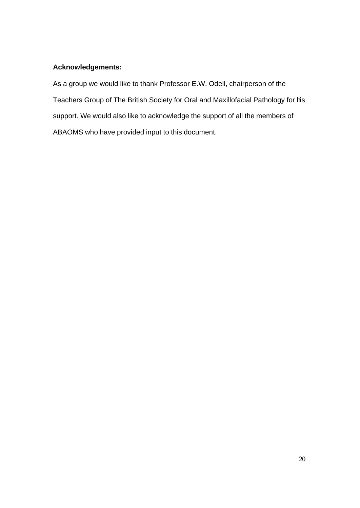# **Acknowledgements:**

As a group we would like to thank Professor E.W. Odell, chairperson of the Teachers Group of The British Society for Oral and Maxillofacial Pathology for his support. We would also like to acknowledge the support of all the members of ABAOMS who have provided input to this document.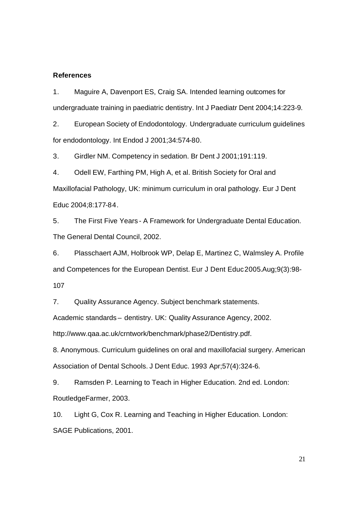#### **References**

1. Maguire A, Davenport ES, Craig SA. Intended learning outcomes for undergraduate training in paediatric dentistry. Int J Paediatr Dent 2004;14:223-9.

2. European Society of Endodontology. Undergraduate curriculum guidelines for endodontology. Int Endod J 2001;34:574-80.

3. Girdler NM. Competency in sedation. Br Dent J 2001;191:119.

4. Odell EW, Farthing PM, High A, et al. British Society for Oral and Maxillofacial Pathology, UK: minimum curriculum in oral pathology. Eur J Dent Educ 2004;8:177-84.

5. The First Five Years - A Framework for Undergraduate Dental Education. The General Dental Council, 2002.

6. Plasschaert AJM, Holbrook WP, Delap E, Martinez C, Walmsley A. Profile and Competences for the European Dentist. Eur J Dent Educ 2005.Aug;9(3):98- 107

7. Quality Assurance Agency. Subject benchmark statements.

Academic standards – dentistry. UK: Quality Assurance Agency, 2002.

http://www.qaa.ac.uk/crntwork/benchmark/phase2/Dentistry.pdf.

8. Anonymous. Curriculum guidelines on oral and maxillofacial surgery. American Association of Dental Schools. J Dent Educ. 1993 Apr;57(4):324-6.

9. Ramsden P. Learning to Teach in Higher Education. 2nd ed. London: RoutledgeFarmer, 2003.

10. Light G, Cox R. Learning and Teaching in Higher Education. London: SAGE Publications, 2001.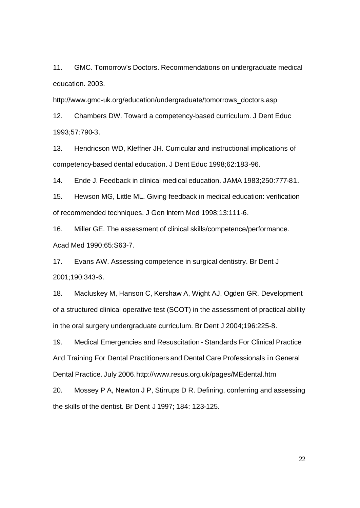11. GMC. Tomorrow's Doctors. Recommendations on undergraduate medical education. 2003.

http://www.gmc-uk.org/education/undergraduate/tomorrows\_doctors.asp

12. Chambers DW. Toward a competency-based curriculum. J Dent Educ 1993;57:790-3.

13. Hendricson WD, Kleffner JH. Curricular and instructional implications of competency-based dental education. J Dent Educ 1998;62:183-96.

14. Ende J. Feedback in clinical medical education. JAMA 1983;250:777-81.

15. Hewson MG, Little ML. Giving feedback in medical education: verification of recommended techniques. J Gen Intern Med 1998;13:111-6.

16. Miller GE. The assessment of clinical skills/competence/performance. Acad Med 1990;65:S63-7.

17. Evans AW. Assessing competence in surgical dentistry. Br Dent J 2001;190:343-6.

18. Macluskey M, Hanson C, Kershaw A, Wight AJ, Ogden GR. Development of a structured clinical operative test (SCOT) in the assessment of practical ability in the oral surgery undergraduate curriculum. Br Dent J 2004;196:225-8.

19. Medical Emergencies and Resuscitation - Standards For Clinical Practice And Training For Dental Practitioners and Dental Care Professionals in General Dental Practice. July 2006.http://www.resus.org.uk/pages/MEdental.htm

20. Mossey P A, Newton J P, Stirrups D R. Defining, conferring and assessing the skills of the dentist. Br Dent J 1997; 184: 123-125.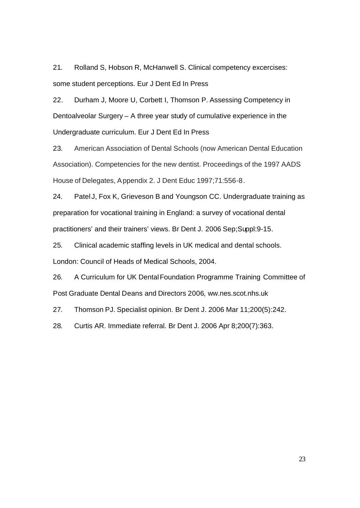21. Rolland S, Hobson R, McHanwell S. Clinical competency excercises: some student perceptions. Eur J Dent Ed In Press

22. Durham J, Moore U, Corbett I, Thomson P. Assessing Competency in Dentoalveolar Surgery – A three year study of cumulative experience in the Undergraduate curriculum. Eur J Dent Ed In Press

23. American Association of Dental Schools (now American Dental Education Association). Competencies for the new dentist. Proceedings of the 1997 AADS House of Delegates, Appendix 2. J Dent Educ 1997;71:556-8.

24. Patel J, Fox K, Grieveson B and Youngson CC. Undergraduate training as preparation for vocational training in England: a survey of vocational dental practitioners' and their trainers' views. Br Dent J. 2006 Sep;Suppl:9-15.

25. Clinical academic staffing levels in UK medical and dental schools. London: Council of Heads of Medical Schools, 2004.

26. A Curriculum for UK DentalFoundation Programme Training Committee of Post Graduate Dental Deans and Directors 2006, ww.nes.scot.nhs.uk

27. Thomson PJ. Specialist opinion. Br Dent J. 2006 Mar 11;200(5):242.

28. Curtis AR. Immediate referral. Br Dent J. 2006 Apr 8;200(7):363.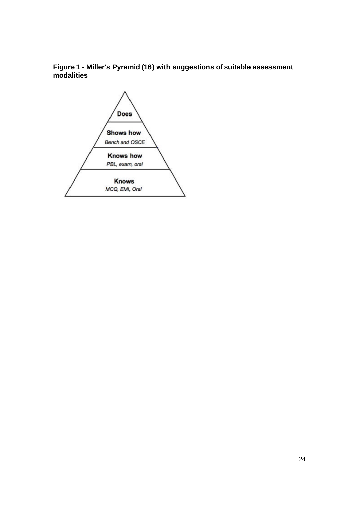# **Figure 1 - Miller's Pyramid (16) with suggestions of suitable assessment modalities**

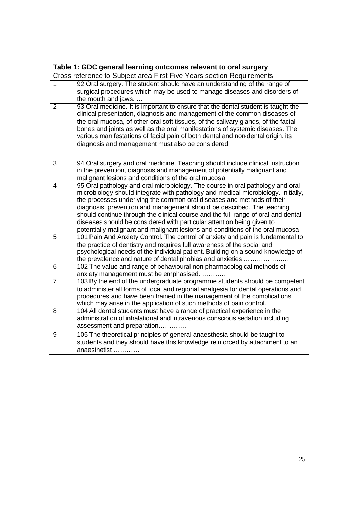#### **Table 1: GDC general learning outcomes relevant to oral surgery**

Cross reference to Subject area First Five Years section Requirements

| $\overline{\phantom{a}}$ | 92 Oral surgery. The student should have an understanding of the range of                                                                                       |
|--------------------------|-----------------------------------------------------------------------------------------------------------------------------------------------------------------|
|                          | surgical procedures which may be used to manage diseases and disorders of                                                                                       |
|                          | the mouth and jaws.                                                                                                                                             |
| $\overline{2}$           | 93 Oral medicine. It is important to ensure that the dental student is taught the                                                                               |
|                          | clinical presentation, diagnosis and management of the common diseases of                                                                                       |
|                          | the oral mucosa, of other oral soft tissues, of the salivary glands, of the facial                                                                              |
|                          | bones and joints as well as the oral manifestations of systemic diseases. The                                                                                   |
|                          | various manifestations of facial pain of both dental and non-dental origin, its                                                                                 |
|                          | diagnosis and management must also be considered                                                                                                                |
|                          |                                                                                                                                                                 |
|                          |                                                                                                                                                                 |
| 3                        | 94 Oral surgery and oral medicine. Teaching should include clinical instruction                                                                                 |
|                          | in the prevention, diagnosis and management of potentially malignant and                                                                                        |
|                          | malignant lesions and conditions of the oral mucos a                                                                                                            |
| 4                        | 95 Oral pathology and oral microbiology. The course in oral pathology and oral                                                                                  |
|                          | microbiology should integrate with pathology and medical microbiology. Initially,                                                                               |
|                          | the processes underlying the common oral diseases and methods of their                                                                                          |
|                          | diagnosis, prevention and management should be described. The teaching                                                                                          |
|                          | should continue through the clinical course and the full range of oral and dental                                                                               |
|                          | diseases should be considered with particular attention being given to                                                                                          |
|                          | potentially malignant and malignant lesions and conditions of the oral mucosa                                                                                   |
| 5                        | 101 Pain And Anxiety Control. The control of anxiety and pain is fundamental to                                                                                 |
|                          | the practice of dentistry and requires full awareness of the social and                                                                                         |
|                          | psychological needs of the individual patient. Building on a sound knowledge of                                                                                 |
|                          | the prevalence and nature of dental phobias and anxieties                                                                                                       |
| 6                        | 102 The value and range of behavioural non-pharmacological methods of                                                                                           |
| 7                        | anxiety management must be emphasised.                                                                                                                          |
|                          | 103 By the end of the undergraduate programme students should be competent<br>to administer all forms of local and regional analgesia for dental operations and |
|                          | procedures and have been trained in the management of the complications                                                                                         |
|                          | which may arise in the application of such methods of pain control.                                                                                             |
| 8                        | 104 All dental students must have a range of practical experience in the                                                                                        |
|                          | administration of inhalational and intravenous conscious sedation including                                                                                     |
|                          | assessment and preparation                                                                                                                                      |
|                          |                                                                                                                                                                 |
| 9                        | 105 The theoretical principles of general anaesthesia should be taught to                                                                                       |
|                          | students and they should have this knowledge reinforced by attachment to an                                                                                     |
|                          | anaesthetist                                                                                                                                                    |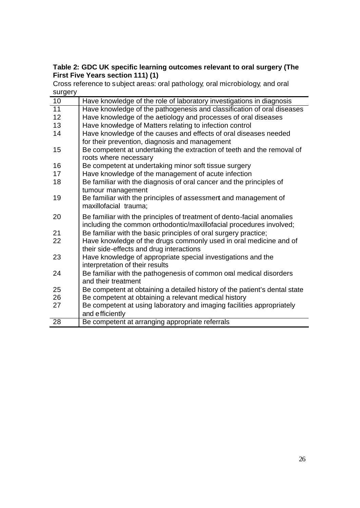# **Table 2: GDC UK specific learning outcomes relevant to oral surgery (The First Five Years section 111) (1)**

Cross reference to subject areas: oral pathology; oral microbiology; and oral surgery

| ourgor |                                                                            |
|--------|----------------------------------------------------------------------------|
| 10     | Have knowledge of the role of laboratory investigations in diagnosis       |
| 11     | Have knowledge of the pathogenesis and classification of oral diseases     |
| 12     | Have knowledge of the aetiology and processes of oral diseases             |
| 13     | Have knowledge of Matters relating to infection control                    |
| 14     | Have knowledge of the causes and effects of oral diseases needed           |
|        | for their prevention, diagnosis and management                             |
| 15     | Be competent at undertaking the extraction of teeth and the removal of     |
|        | roots where necessary                                                      |
| 16     | Be competent at undertaking minor soft tissue surgery                      |
| 17     | Have knowledge of the management of acute infection                        |
| 18     | Be familiar with the diagnosis of oral cancer and the principles of        |
|        | tumour management                                                          |
| 19     | Be familiar with the principles of assessmert and management of            |
|        | maxillofacial trauma;                                                      |
| 20     | Be familiar with the principles of treatment of dento-facial anomalies     |
|        | including the common orthodontic/maxillofacial procedures involved;        |
| 21     | Be familiar with the basic principles of oral surgery practice;            |
| 22     | Have knowledge of the drugs commonly used in oral medicine and of          |
|        | their side-effects and drug interactions                                   |
| 23     | Have knowledge of appropriate special investigations and the               |
|        | interpretation of their results                                            |
| 24     | Be familiar with the pathogenesis of common oral medical disorders         |
|        | and their treatment                                                        |
| 25     | Be competent at obtaining a detailed history of the patient's dental state |
| 26     | Be competent at obtaining a relevant medical history                       |
| 27     | Be competent at using laboratory and imaging facilities appropriately      |
|        | and efficiently                                                            |
| 28     | Be competent at arranging appropriate referrals                            |
|        |                                                                            |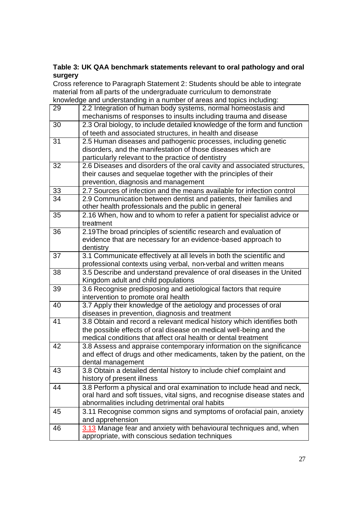# **Table 3: UK QAA benchmark statements relevant to oral pathology and oral surgery**

Cross reference to Paragraph Statement 2: Students should be able to integrate material from all parts of the undergraduate curriculum to demonstrate<br>knowledge and understanding in a number of areas and topics including knowledge and understanding in a number of areas and topics including:

|    | knowledge and understanding in a number of areas and topics including:    |
|----|---------------------------------------------------------------------------|
| 29 | 2.2 Integration of human body systems, normal homeostasis and             |
|    | mechanisms of responses to insults including trauma and disease           |
| 30 | 2.3 Oral biology, to include detailed knowledge of the form and function  |
|    | of teeth and associated structures, in health and disease                 |
| 31 | 2.5 Human diseases and pathogenic processes, including genetic            |
|    | disorders, and the manifestation of those diseases which are              |
|    | particularly relevant to the practice of dentistry                        |
| 32 | 2.6 Diseases and disorders of the oral cavity and associated structures,  |
|    | their causes and sequelae together with the principles of their           |
|    | prevention, diagnosis and management                                      |
| 33 | 2.7 Sources of infection and the means available for infection control    |
| 34 | 2.9 Communication between dentist and patients, their families and        |
|    | other health professionals and the public in general                      |
| 35 | 2.16 When, how and to whom to refer a patient for specialist advice or    |
|    | treatment                                                                 |
| 36 | 2.19The broad principles of scientific research and evaluation of         |
|    | evidence that are necessary for an evidence-based approach to             |
|    | dentistry                                                                 |
| 37 | 3.1 Communicate effectively at all levels in both the scientific and      |
|    | professional contexts using verbal, non-verbal and written means          |
| 38 | 3.5 Describe and understand prevalence of oral diseases in the United     |
|    | Kingdom adult and child populations                                       |
| 39 | 3.6 Recognise predisposing and aetiological factors that require          |
|    | intervention to promote oral health                                       |
| 40 | 3.7 Apply their knowledge of the aetiology and processes of oral          |
|    | diseases in prevention, diagnosis and treatment                           |
| 41 | 3.8 Obtain and record a relevant medical history which identifies both    |
|    | the possible effects of oral disease on medical well-being and the        |
|    | medical conditions that affect oral health or dental treatment            |
| 42 | 3.8 Assess and appraise contemporary information on the significance      |
|    | and effect of drugs and other medicaments, taken by the patient, on the   |
|    | dental management                                                         |
| 43 | 3.8 Obtain a detailed dental history to include chief complaint and       |
|    | history of present illness                                                |
| 44 | 3.8 Perform a physical and oral examination to include head and neck,     |
|    | oral hard and soft tissues, vital signs, and recognise disease states and |
|    | abnormalities including detrimental oral habits                           |
| 45 | 3.11 Recognise common signs and symptoms of orofacial pain, anxiety       |
|    | and apprehension                                                          |
| 46 | 3.13 Manage fear and anxiety with behavioural techniques and, when        |
|    | appropriate, with conscious sedation techniques                           |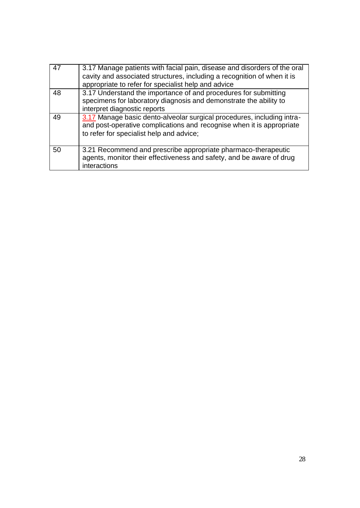| $\overline{47}$ | 3.17 Manage patients with facial pain, disease and disorders of the oral<br>cavity and associated structures, including a recognition of when it is<br>appropriate to refer for specialist help and advice |
|-----------------|------------------------------------------------------------------------------------------------------------------------------------------------------------------------------------------------------------|
| 48              | 3.17 Understand the importance of and procedures for submitting<br>specimens for laboratory diagnosis and demonstrate the ability to<br>interpret diagnostic reports                                       |
| 49              | 3.17 Manage basic dento-alveolar surgical procedures, including intra-<br>and post-operative complications and recognise when it is appropriate<br>to refer for specialist help and advice;                |
| 50              | 3.21 Recommend and prescribe appropriate pharmaco-therapeutic<br>agents, monitor their effectiveness and safety, and be aware of drug<br>interactions                                                      |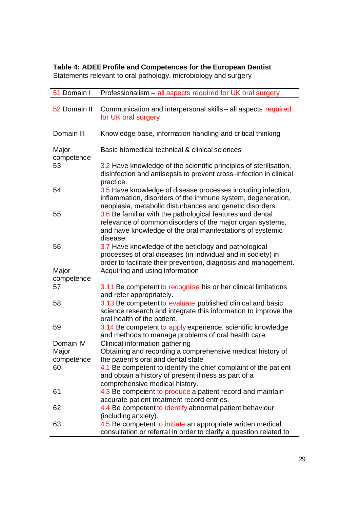| 51 Domain I                      | Professionalism - all aspects required for UK oral surgery                                                                                                                                      |
|----------------------------------|-------------------------------------------------------------------------------------------------------------------------------------------------------------------------------------------------|
| 52 Domain II                     | Communication and interpersonal skills - all aspects required<br>for UK oral surgery                                                                                                            |
| Domain III                       | Knowledge base, information handling and critical thinking                                                                                                                                      |
| Major<br>competence              | Basic biomedical technical & clinical sciences                                                                                                                                                  |
| 53                               | 3.2 Have knowledge of the scientific principles of sterilisation,<br>disinfection and antisepsis to prevent cross-infection in clinical<br>practice.                                            |
| 54                               | 3.5 Have knowledge of disease processes including infection,<br>inflammation, disorders of the immune system, degeneration,<br>neoplasia, metabolic disturbances and genetic disorders.         |
| 55                               | 3.6 Be familiar with the pathological features and dental<br>relevance of common disorders of the major organ systems,<br>and have knowledge of the oral manifestations of systemic<br>disease. |
| 56                               | 3.7 Have knowledge of the aetiology and pathological<br>processes of oral diseases (in individual and in society) in<br>order to facilitate their prevention, diagnosis and management.         |
| Major<br>competence              | Acquiring and using information                                                                                                                                                                 |
| 57                               | 3.11 Be competent to recognise his or her clinical limitations<br>and refer appropriately.                                                                                                      |
| 58                               | 3.13 Be competent to evaluate published clinical and basic<br>science research and integrate this information to improve the<br>oral health of the patient.                                     |
| 59                               | 3.14 Be competent to apply experience, scientific knowledge<br>and methods to manage problems of oral health care.                                                                              |
| Domain IV<br>Major<br>competence | Clinical information gathering<br>Obtaining and recording a comprehensive medical history of<br>the patient's oral and dental state                                                             |
| 60                               | 4.1 Be competent to identify the chief complaint of the patient<br>and obtain a history of present illness as part of a<br>comprehensive medical history.                                       |
| 61                               | 4.3 Be competent to produce a patient record and maintain<br>accurate patient treatment record entries.                                                                                         |
| 62                               | 4.4 Be competent to identify abnormal patient behaviour<br>(including anxiety).                                                                                                                 |
| 63                               | 4.5 Be competent to initiate an appropriate written medical<br>consultation or referral in order to clarify a question related to                                                               |

# **Table 4: ADEE Profile and Competences for the European Dentist**  Statements relevant to oral pathology, microbiology and surgery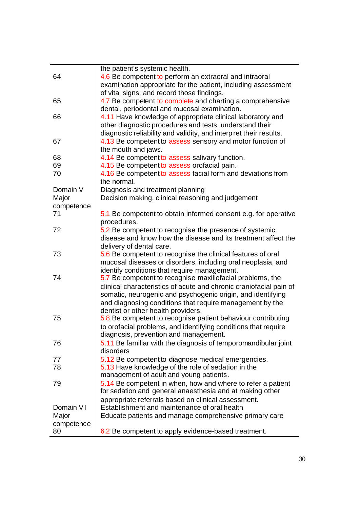|            | the patient's systemic health.                                                                 |
|------------|------------------------------------------------------------------------------------------------|
| 64         | 4.6 Be competent to perform an extraoral and intraoral                                         |
|            | examination appropriate for the patient, including assessment                                  |
|            | of vital signs, and record those findings.                                                     |
| 65         | 4.7 Be competent to complete and charting a comprehensive                                      |
|            | dental, periodontal and mucosal examination.                                                   |
| 66         | 4.11 Have knowledge of appropriate clinical laboratory and                                     |
|            | other diagnostic procedures and tests, understand their                                        |
|            | diagnostic reliability and validity, and interp ret their results.                             |
| 67         | 4.13 Be competent to assess sensory and motor function of                                      |
|            | the mouth and jaws.                                                                            |
| 68         | 4.14 Be competent to assess salivary function.                                                 |
| 69         | 4.15 Be competent to assess orofacial pain.                                                    |
| 70         | 4.16 Be competent to assess facial form and deviations from                                    |
|            | the normal.                                                                                    |
| Domain V   | Diagnosis and treatment planning                                                               |
| Major      | Decision making, clinical reasoning and judgement                                              |
| competence |                                                                                                |
| 71         | 5.1 Be competent to obtain informed consent e.g. for operative                                 |
|            | procedures.                                                                                    |
| 72         | 5.2 Be competent to recognise the presence of systemic                                         |
|            | disease and know how the disease and its treatment affect the                                  |
|            | delivery of dental care.                                                                       |
| 73         | 5.6 Be competent to recognise the clinical features of oral                                    |
|            | mucosal diseases or disorders, including oral neoplasia, and                                   |
|            | identify conditions that require management.                                                   |
| 74         | 5.7 Be competent to recognise maxillofacial problems, the                                      |
|            | clinical characteristics of acute and chronic craniofacial pain of                             |
|            | somatic, neurogenic and psychogenic origin, and identifying                                    |
|            |                                                                                                |
|            | and diagnosing conditions that require management by the<br>dentist or other health providers. |
| 75         | 5.8 Be competent to recognise patient behaviour contributing                                   |
|            |                                                                                                |
|            | to orofacial problems, and identifying conditions that require                                 |
|            | diagnosis, prevention and management.                                                          |
| 76         | 5.11 Be familiar with the diagnosis of temporomandibular joint                                 |
|            | disorders                                                                                      |
| 77         | 5.12 Be competent to diagnose medical emergencies.                                             |
| 78         | 5.13 Have knowledge of the role of sedation in the                                             |
|            | management of adult and young patients.                                                        |
| 79         | 5.14 Be competent in when, how and where to refer a patient                                    |
|            | for sedation and general anaesthesia and at making other                                       |
|            | appropriate referrals based on clinical assessment.                                            |
| Domain VI  | Establishment and maintenance of oral health                                                   |
| Major      | Educate patients and manage comprehensive primary care                                         |
| competence |                                                                                                |
| 80         | 6.2 Be competent to apply evidence-based treatment.                                            |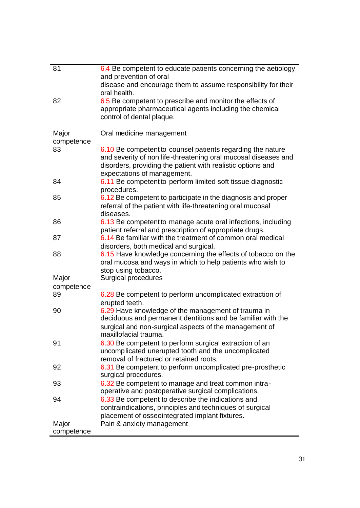| 81         | 6.4 Be competent to educate patients concerning the aetiology                 |
|------------|-------------------------------------------------------------------------------|
|            | and prevention of oral                                                        |
|            | disease and encourage them to assume responsibility for their<br>oral health. |
| 82         | 6.5 Be competent to prescribe and monitor the effects of                      |
|            | appropriate pharmaceutical agents including the chemical                      |
|            | control of dental plaque.                                                     |
|            |                                                                               |
| Major      | Oral medicine management                                                      |
| competence |                                                                               |
| 83         | 6.10 Be competent to counsel patients regarding the nature                    |
|            | and severity of non life-threatening oral mucosal diseases and                |
|            | disorders, providing the patient with realistic options and                   |
|            | expectations of management.                                                   |
| 84         | 6.11 Be competent to perform limited soft tissue diagnostic                   |
|            | procedures.                                                                   |
| 85         | 6.12 Be competent to participate in the diagnosis and proper                  |
|            | referral of the patient with life-threatening oral mucosal                    |
|            | diseases.                                                                     |
| 86         | 6.13 Be competent to manage acute oral infections, including                  |
|            | patient referral and prescription of appropriate drugs.                       |
| 87         | 6.14 Be familiar with the treatment of common oral medical                    |
|            | disorders, both medical and surgical.                                         |
| 88         | 6.15 Have knowledge concerning the effects of tobacco on the                  |
|            | oral mucosa and ways in which to help patients who wish to                    |
|            | stop using tobacco.                                                           |
| Major      | Surgical procedures                                                           |
| competence |                                                                               |
| 89         | 6.28 Be competent to perform uncomplicated extraction of                      |
| 90         | erupted teeth.<br>6.29 Have knowledge of the management of trauma in          |
|            | deciduous and permanent dentitions and be familiar with the                   |
|            | surgical and non-surgical aspects of the management of                        |
|            | maxillofacial trauma.                                                         |
| 91         | 6.30 Be competent to perform surgical extraction of an                        |
|            | uncomplicated unerupted tooth and the uncomplicated                           |
|            | removal of fractured or retained roots.                                       |
| 92         | 6.31 Be competent to perform uncomplicated pre-prosthetic                     |
|            | surgical procedures.                                                          |
| 93         | 6.32 Be competent to manage and treat common intra-                           |
|            | operative and postoperative surgical complications.                           |
| 94         | 6.33 Be competent to describe the indications and                             |
|            | contraindications, principles and techniques of surgical                      |
|            | placement of osseointegrated implant fixtures.                                |
| Major      | Pain & anxiety management                                                     |
| competence |                                                                               |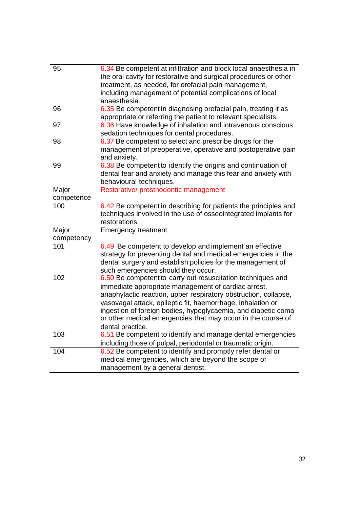| 95               | 6.34 Be competent at infiltration and block local anaesthesia in |  |  |  |
|------------------|------------------------------------------------------------------|--|--|--|
|                  | the oral cavity for restorative and surgical procedures or other |  |  |  |
|                  | treatment, as needed, for orofacial pain management,             |  |  |  |
|                  | including management of potential complications of local         |  |  |  |
|                  | anaesthesia.                                                     |  |  |  |
| 96               | 6.35 Be competent in diagnosing orofacial pain, treating it as   |  |  |  |
|                  |                                                                  |  |  |  |
|                  | appropriate or referring the patient to relevant specialists.    |  |  |  |
| 97               | 6.36 Have knowledge of inhalation and intravenous conscious      |  |  |  |
|                  | sedation techniques for dental procedures.                       |  |  |  |
| 98               | 6.37 Be competent to select and prescribe drugs for the          |  |  |  |
|                  | management of preoperative, operative and postoperative pain     |  |  |  |
|                  | and anxiety.                                                     |  |  |  |
| 99               | 6.38 Be competent to identify the origins and continuation of    |  |  |  |
|                  | dental fear and anxiety and manage this fear and anxiety with    |  |  |  |
|                  | behavioural techniques.                                          |  |  |  |
| Major            | Restorative/ prosthodontic management                            |  |  |  |
| competence       |                                                                  |  |  |  |
| 100              | 6.42 Be competent in describing for patients the principles and  |  |  |  |
|                  | techniques involved in the use of osseointegrated implants for   |  |  |  |
|                  | restorations.                                                    |  |  |  |
| Major            | <b>Emergency treatment</b>                                       |  |  |  |
| competency       |                                                                  |  |  |  |
| 101              | 6.49 Be competent to develop and implement an effective          |  |  |  |
|                  | strategy for preventing dental and medical emergencies in the    |  |  |  |
|                  | dental surgery and establish policies for the management of      |  |  |  |
|                  | such emergencies should they occur.                              |  |  |  |
| 102              | 6.50 Be competent to carry out resuscitation techniques and      |  |  |  |
|                  | immediate appropriate management of cardiac arrest,              |  |  |  |
|                  | anaphylactic reaction, upper respiratory obstruction, collapse,  |  |  |  |
|                  | vasovagal attack, epileptic fit, haemorrhage, inhalation or      |  |  |  |
|                  | ingestion of foreign bodies, hypoglycaemia, and diabetic coma    |  |  |  |
|                  | or other medical emergencies that may occur in the course of     |  |  |  |
|                  | dental practice.                                                 |  |  |  |
| 103              | 6.51 Be competent to identify and manage dental emergencies      |  |  |  |
|                  |                                                                  |  |  |  |
|                  | including those of pulpal, periodontal or traumatic origin.      |  |  |  |
| $\overline{104}$ | 6.52 Be competent to identify and promptly refer dental or       |  |  |  |
|                  | medical emergencies, which are beyond the scope of               |  |  |  |
|                  | management by a general dentist.                                 |  |  |  |